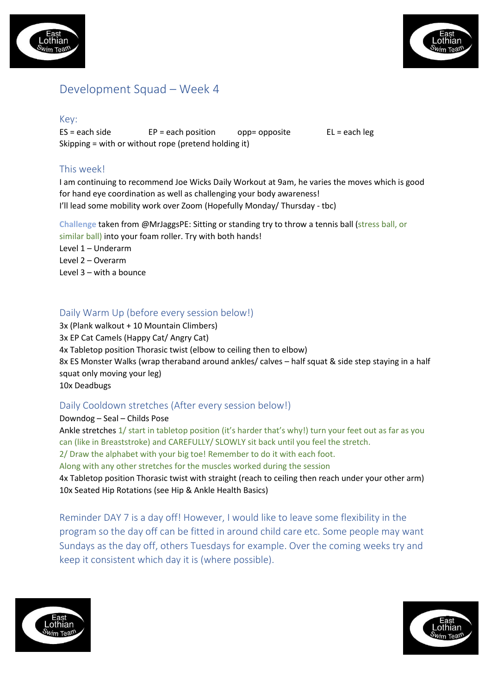



# Development Squad – Week 4

#### Key:

 $ES = each side$   $EP = each position$  opp= opposite  $EL = each \, leg$ Skipping = with or without rope (pretend holding it)

## This week!

I am continuing to recommend Joe Wicks Daily Workout at 9am, he varies the moves which is good for hand eye coordination as well as challenging your body awareness! I'll lead some mobility work over Zoom (Hopefully Monday/ Thursday - tbc)

**Challenge** taken from @MrJaggsPE: Sitting or standing try to throw a tennis ball (stress ball, or similar ball) into your foam roller. Try with both hands!

Level 1 – Underarm

Level 2 – Overarm

Level 3 – with a bounce

## Daily Warm Up (before every session below!)

3x (Plank walkout + 10 Mountain Climbers) 3x EP Cat Camels (Happy Cat/ Angry Cat) 4x Tabletop position Thorasic twist (elbow to ceiling then to elbow) 8x ES Monster Walks (wrap theraband around ankles/ calves – half squat & side step staying in a half squat only moving your leg) 10x Deadbugs

### Daily Cooldown stretches (After every session below!)

Downdog – Seal – Childs Pose Ankle stretches 1/ start in tabletop position (it's harder that's why!) turn your feet out as far as you can (like in Breaststroke) and CAREFULLY/ SLOWLY sit back until you feel the stretch. 2/ Draw the alphabet with your big toe! Remember to do it with each foot. Along with any other stretches for the muscles worked during the session 4x Tabletop position Thorasic twist with straight (reach to ceiling then reach under your other arm) 10x Seated Hip Rotations (see Hip & Ankle Health Basics)

Reminder DAY 7 is a day off! However, I would like to leave some flexibility in the program so the day off can be fitted in around child care etc. Some people may want Sundays as the day off, others Tuesdays for example. Over the coming weeks try and keep it consistent which day it is (where possible).



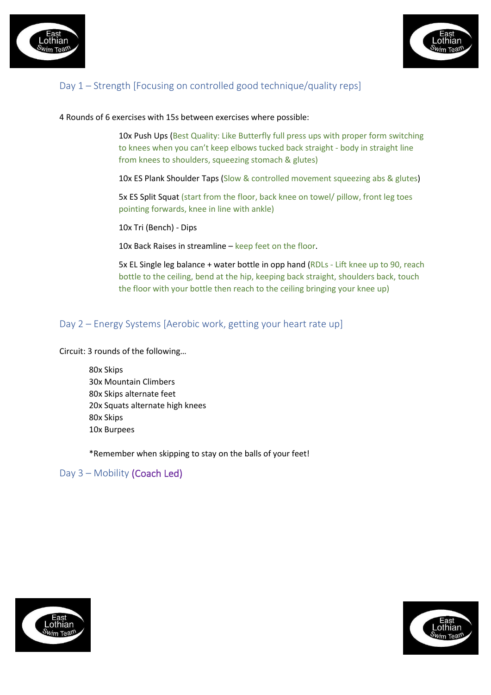



# Day 1 – Strength [Focusing on controlled good technique/quality reps]

#### 4 Rounds of 6 exercises with 15s between exercises where possible:

10x Push Ups (Best Quality: Like Butterfly full press ups with proper form switching to knees when you can't keep elbows tucked back straight - body in straight line from knees to shoulders, squeezing stomach & glutes)

10x ES Plank Shoulder Taps (Slow & controlled movement squeezing abs & glutes)

5x ES Split Squat (start from the floor, back knee on towel/ pillow, front leg toes pointing forwards, knee in line with ankle)

10x Tri (Bench) - Dips

10x Back Raises in streamline – keep feet on the floor.

5x EL Single leg balance + water bottle in opp hand (RDLs - Lift knee up to 90, reach bottle to the ceiling, bend at the hip, keeping back straight, shoulders back, touch the floor with your bottle then reach to the ceiling bringing your knee up)

## Day 2 – Energy Systems [Aerobic work, getting your heart rate up]

Circuit: 3 rounds of the following…

80x Skips 30x Mountain Climbers 80x Skips alternate feet 20x Squats alternate high knees 80x Skips 10x Burpees

\*Remember when skipping to stay on the balls of your feet!

#### Day 3 – Mobility (Coach Led)